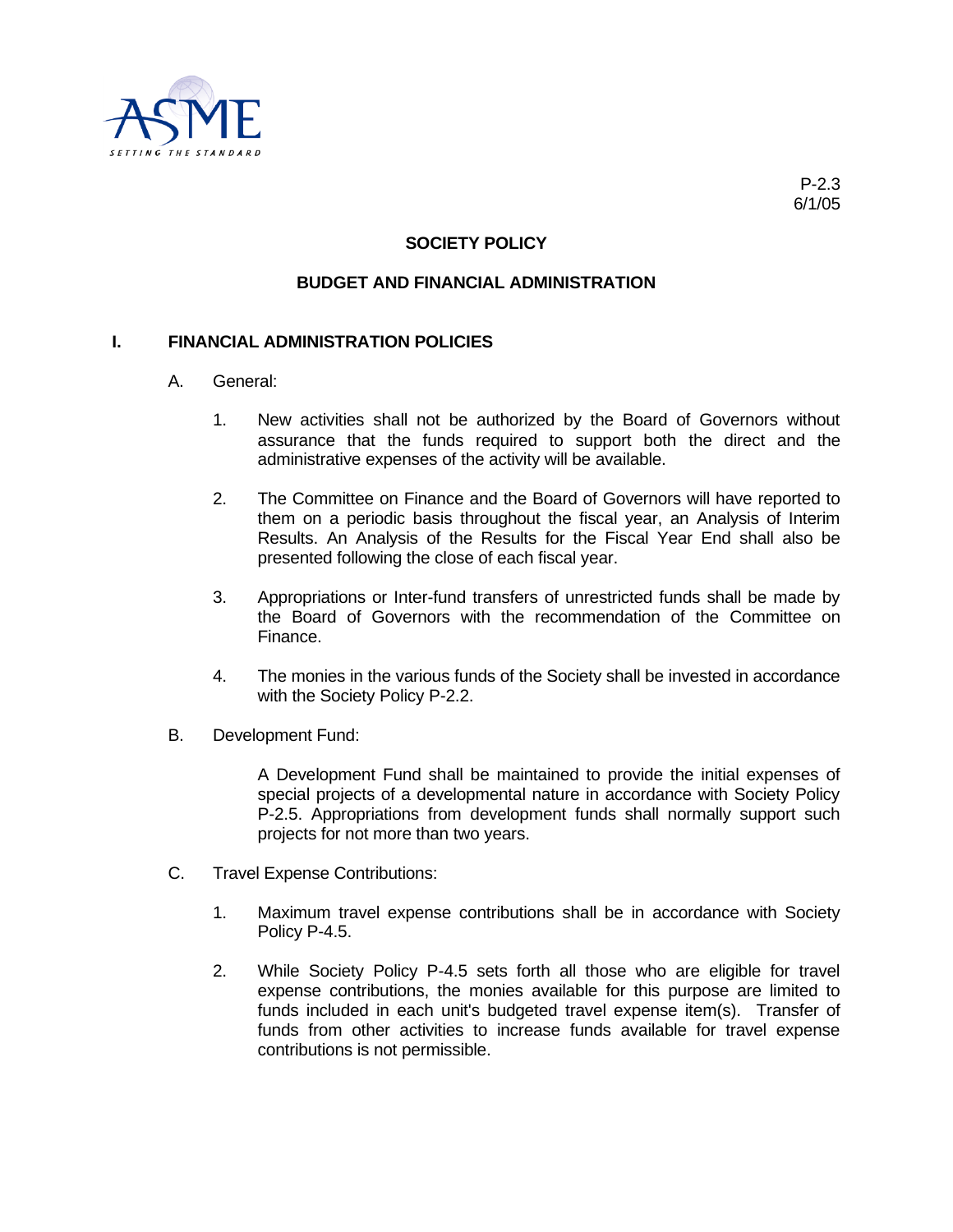

## **SOCIETY POLICY**

## **BUDGET AND FINANCIAL ADMINISTRATION**

## **I. FINANCIAL ADMINISTRATION POLICIES**

- A. General:
	- 1. New activities shall not be authorized by the Board of Governors without assurance that the funds required to support both the direct and the administrative expenses of the activity will be available.
	- 2. The Committee on Finance and the Board of Governors will have reported to them on a periodic basis throughout the fiscal year, an Analysis of Interim Results. An Analysis of the Results for the Fiscal Year End shall also be presented following the close of each fiscal year.
	- 3. Appropriations or Inter-fund transfers of unrestricted funds shall be made by the Board of Governors with the recommendation of the Committee on Finance.
	- 4. The monies in the various funds of the Society shall be invested in accordance with the Society Policy P-2.2.
- B. Development Fund:

A Development Fund shall be maintained to provide the initial expenses of special projects of a developmental nature in accordance with Society Policy P-2.5. Appropriations from development funds shall normally support such projects for not more than two years.

- C. Travel Expense Contributions:
	- 1. Maximum travel expense contributions shall be in accordance with Society Policy P-4.5.
	- 2. While Society Policy P-4.5 sets forth all those who are eligible for travel expense contributions, the monies available for this purpose are limited to funds included in each unit's budgeted travel expense item(s). Transfer of funds from other activities to increase funds available for travel expense contributions is not permissible.